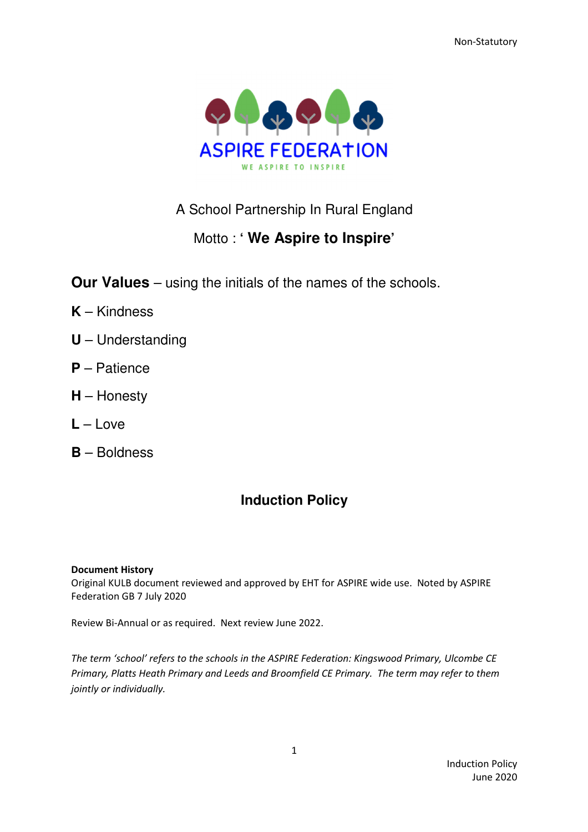Non-Statutory



## A School Partnership In Rural England

# Motto : **' We Aspire to Inspire'**

**Our Values** – using the initials of the names of the schools.

- **K** Kindness
- **U** Understanding
- **P** Patience
- **H** Honesty
- **L** Love
- **B** Boldness

# **Induction Policy**

### Document History

Original KULB document reviewed and approved by EHT for ASPIRE wide use. Noted by ASPIRE Federation GB 7 July 2020

Review Bi-Annual or as required. Next review June 2022.

The term 'school' refers to the schools in the ASPIRE Federation: Kingswood Primary, Ulcombe CE Primary, Platts Heath Primary and Leeds and Broomfield CE Primary. The term may refer to them jointly or individually.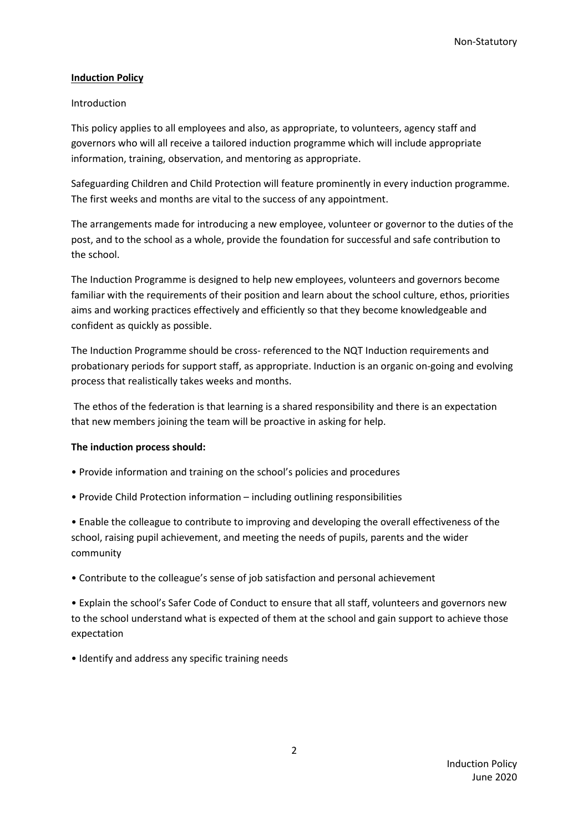#### Induction Policy

#### Introduction

This policy applies to all employees and also, as appropriate, to volunteers, agency staff and governors who will all receive a tailored induction programme which will include appropriate information, training, observation, and mentoring as appropriate.

Safeguarding Children and Child Protection will feature prominently in every induction programme. The first weeks and months are vital to the success of any appointment.

The arrangements made for introducing a new employee, volunteer or governor to the duties of the post, and to the school as a whole, provide the foundation for successful and safe contribution to the school.

The Induction Programme is designed to help new employees, volunteers and governors become familiar with the requirements of their position and learn about the school culture, ethos, priorities aims and working practices effectively and efficiently so that they become knowledgeable and confident as quickly as possible.

The Induction Programme should be cross- referenced to the NQT Induction requirements and probationary periods for support staff, as appropriate. Induction is an organic on-going and evolving process that realistically takes weeks and months.

 The ethos of the federation is that learning is a shared responsibility and there is an expectation that new members joining the team will be proactive in asking for help.

### The induction process should:

- Provide information and training on the school's policies and procedures
- Provide Child Protection information including outlining responsibilities

• Enable the colleague to contribute to improving and developing the overall effectiveness of the school, raising pupil achievement, and meeting the needs of pupils, parents and the wider community

• Contribute to the colleague's sense of job satisfaction and personal achievement

• Explain the school's Safer Code of Conduct to ensure that all staff, volunteers and governors new to the school understand what is expected of them at the school and gain support to achieve those expectation

• Identify and address any specific training needs